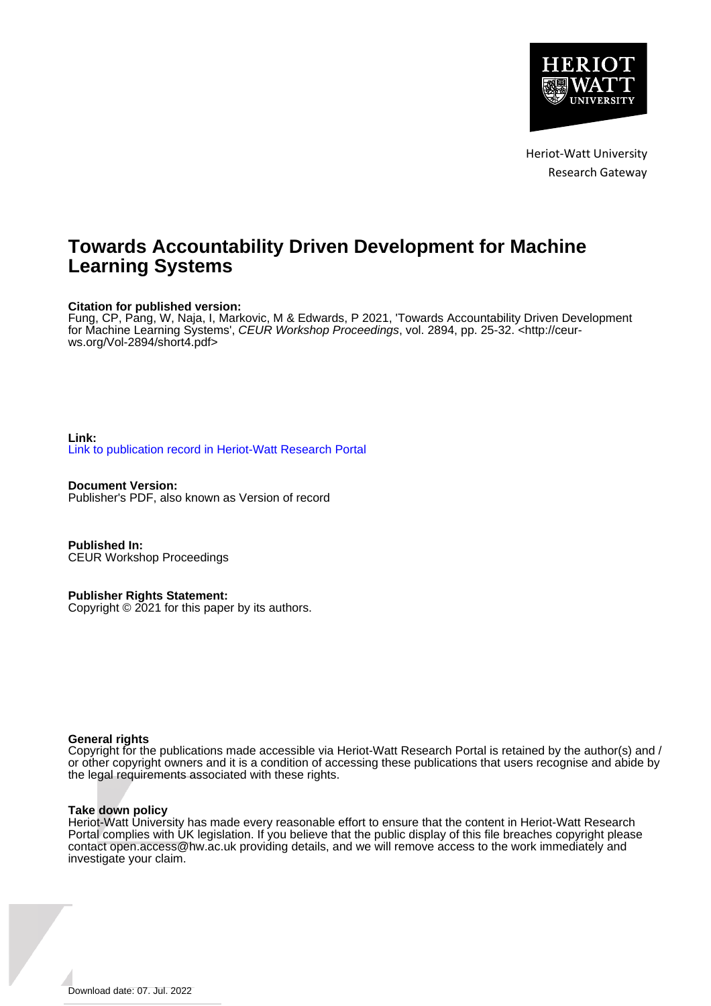

Heriot-Watt University Research Gateway

# **Towards Accountability Driven Development for Machine Learning Systems**

## **Citation for published version:**

Fung, CP, Pang, W, Naja, I, Markovic, M & Edwards, P 2021, 'Towards Accountability Driven Development for Machine Learning Systems', CEUR Workshop Proceedings, vol. 2894, pp. 25-32. [<http://ceur](http://ceur-ws.org/Vol-2894/short4.pdf)[ws.org/Vol-2894/short4.pdf](http://ceur-ws.org/Vol-2894/short4.pdf)>

## **Link:** [Link to publication record in Heriot-Watt Research Portal](https://researchportal.hw.ac.uk/en/publications/14bd4087-0d44-407e-afbd-d197e9e9527e)

**Document Version:** Publisher's PDF, also known as Version of record

**Published In:** CEUR Workshop Proceedings

**Publisher Rights Statement:** Copyright © 2021 for this paper by its authors.

## **General rights**

Copyright for the publications made accessible via Heriot-Watt Research Portal is retained by the author(s) and / or other copyright owners and it is a condition of accessing these publications that users recognise and abide by the legal requirements associated with these rights.

## **Take down policy**

Heriot-Watt University has made every reasonable effort to ensure that the content in Heriot-Watt Research Portal complies with UK legislation. If you believe that the public display of this file breaches copyright please contact open.access@hw.ac.uk providing details, and we will remove access to the work immediately and investigate your claim.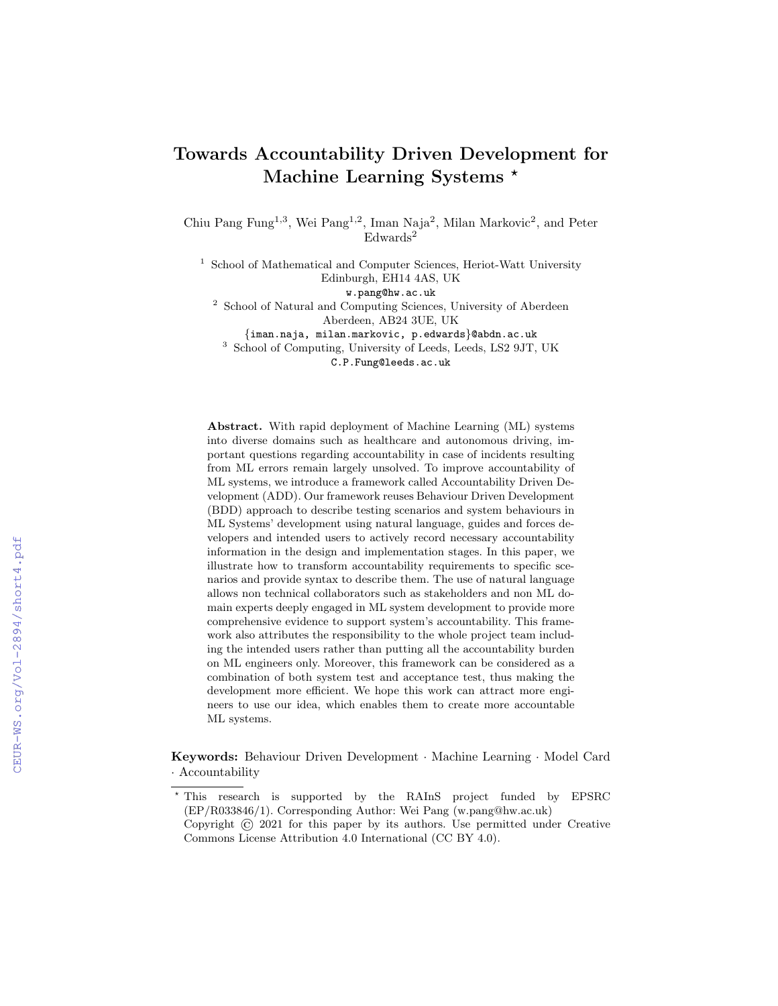## Towards Accountability Driven Development for Machine Learning Systems \*

Chiu Pang Fung<sup>1,3</sup>, Wei Pang<sup>1,2</sup>, Iman Naja<sup>2</sup>, Milan Markovic<sup>2</sup>, and Peter  $Edwards<sup>2</sup>$ 

<sup>1</sup> School of Mathematical and Computer Sciences, Heriot-Watt University Edinburgh, EH14 4AS, UK

w.pang@hw.ac.uk

<sup>2</sup> School of Natural and Computing Sciences, University of Aberdeen Aberdeen, AB24 3UE, UK

{iman.naja, milan.markovic, p.edwards}@abdn.ac.uk

<sup>3</sup> School of Computing, University of Leeds, Leeds, LS2 9JT, UK

C.P.Fung@leeds.ac.uk

Abstract. With rapid deployment of Machine Learning (ML) systems into diverse domains such as healthcare and autonomous driving, important questions regarding accountability in case of incidents resulting from ML errors remain largely unsolved. To improve accountability of ML systems, we introduce a framework called Accountability Driven Development (ADD). Our framework reuses Behaviour Driven Development (BDD) approach to describe testing scenarios and system behaviours in ML Systems' development using natural language, guides and forces developers and intended users to actively record necessary accountability information in the design and implementation stages. In this paper, we illustrate how to transform accountability requirements to specific scenarios and provide syntax to describe them. The use of natural language allows non technical collaborators such as stakeholders and non ML domain experts deeply engaged in ML system development to provide more comprehensive evidence to support system's accountability. This framework also attributes the responsibility to the whole project team including the intended users rather than putting all the accountability burden on ML engineers only. Moreover, this framework can be considered as a combination of both system test and acceptance test, thus making the development more efficient. We hope this work can attract more engineers to use our idea, which enables them to create more accountable ML systems.

Keywords: Behaviour Driven Development · Machine Learning · Model Card · Accountability

<sup>?</sup> This research is supported by the RAInS project funded by EPSRC (EP/R033846/1). Corresponding Author: Wei Pang (w.pang@hw.ac.uk)

Copyright © 2021 for this paper by its authors. Use permitted under Creative Commons License Attribution 4.0 International (CC BY 4.0).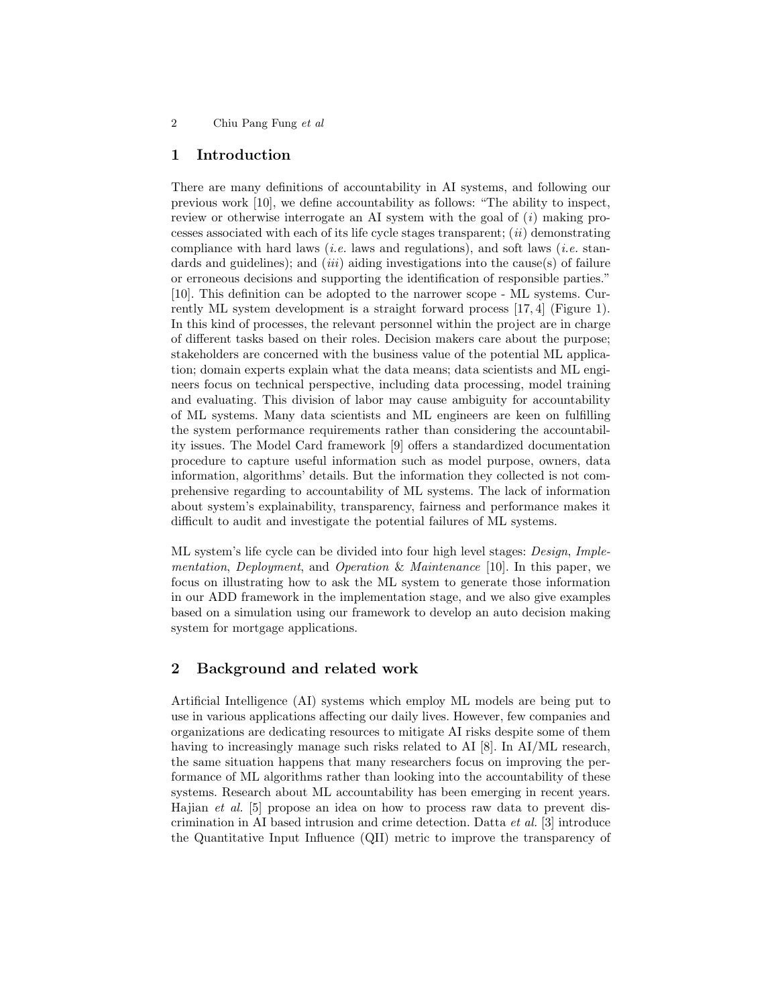2 Chiu Pang Fung et al

## 1 Introduction

There are many definitions of accountability in AI systems, and following our previous work [10], we define accountability as follows: "The ability to inspect, review or otherwise interrogate an AI system with the goal of  $(i)$  making processes associated with each of its life cycle stages transparent;  $(ii)$  demonstrating compliance with hard laws (*i.e.* laws and regulations), and soft laws (*i.e.* standards and guidelines); and *(iii)* aiding investigations into the cause(s) of failure or erroneous decisions and supporting the identification of responsible parties." [10]. This definition can be adopted to the narrower scope - ML systems. Currently ML system development is a straight forward process [17, 4] (Figure 1). In this kind of processes, the relevant personnel within the project are in charge of different tasks based on their roles. Decision makers care about the purpose; stakeholders are concerned with the business value of the potential ML application; domain experts explain what the data means; data scientists and ML engineers focus on technical perspective, including data processing, model training and evaluating. This division of labor may cause ambiguity for accountability of ML systems. Many data scientists and ML engineers are keen on fulfilling the system performance requirements rather than considering the accountability issues. The Model Card framework [9] offers a standardized documentation procedure to capture useful information such as model purpose, owners, data information, algorithms' details. But the information they collected is not comprehensive regarding to accountability of ML systems. The lack of information about system's explainability, transparency, fairness and performance makes it difficult to audit and investigate the potential failures of ML systems.

ML system's life cycle can be divided into four high level stages: Design, Implementation, Deployment, and Operation & Maintenance [10]. In this paper, we focus on illustrating how to ask the ML system to generate those information in our ADD framework in the implementation stage, and we also give examples based on a simulation using our framework to develop an auto decision making system for mortgage applications.

## 2 Background and related work

Artificial Intelligence (AI) systems which employ ML models are being put to use in various applications affecting our daily lives. However, few companies and organizations are dedicating resources to mitigate AI risks despite some of them having to increasingly manage such risks related to AI [8]. In AI/ML research, the same situation happens that many researchers focus on improving the performance of ML algorithms rather than looking into the accountability of these systems. Research about ML accountability has been emerging in recent years. Hajian et al. [5] propose an idea on how to process raw data to prevent discrimination in AI based intrusion and crime detection. Datta et al. [3] introduce the Quantitative Input Influence (QII) metric to improve the transparency of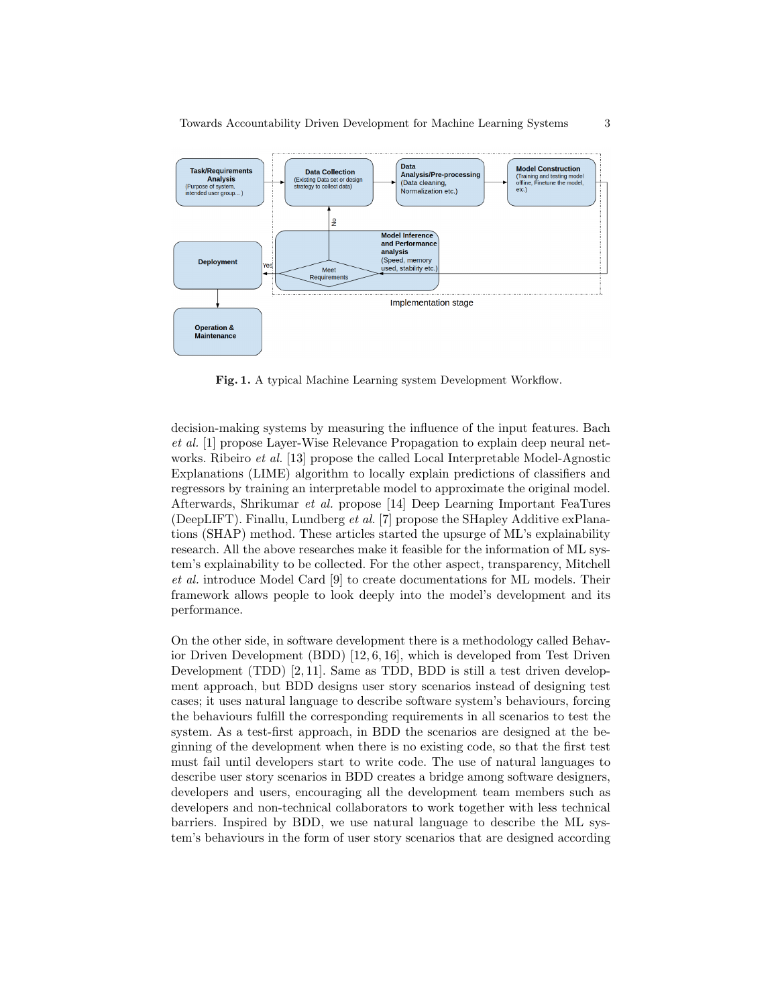

Towards Accountability Driven Development for Machine Learning Systems 3

Fig. 1. A typical Machine Learning system Development Workflow.

decision-making systems by measuring the influence of the input features. Bach et al. [1] propose Layer-Wise Relevance Propagation to explain deep neural networks. Ribeiro *et al.* [13] propose the called Local Interpretable Model-Agnostic Explanations (LIME) algorithm to locally explain predictions of classifiers and regressors by training an interpretable model to approximate the original model. Afterwards, Shrikumar et al. propose [14] Deep Learning Important FeaTures (DeepLIFT). Finallu, Lundberg et al. [7] propose the SHapley Additive exPlanations (SHAP) method. These articles started the upsurge of ML's explainability research. All the above researches make it feasible for the information of ML system's explainability to be collected. For the other aspect, transparency, Mitchell et al. introduce Model Card [9] to create documentations for ML models. Their framework allows people to look deeply into the model's development and its performance.

On the other side, in software development there is a methodology called Behavior Driven Development (BDD) [12, 6, 16], which is developed from Test Driven Development (TDD) [2, 11]. Same as TDD, BDD is still a test driven development approach, but BDD designs user story scenarios instead of designing test cases; it uses natural language to describe software system's behaviours, forcing the behaviours fulfill the corresponding requirements in all scenarios to test the system. As a test-first approach, in BDD the scenarios are designed at the beginning of the development when there is no existing code, so that the first test must fail until developers start to write code. The use of natural languages to describe user story scenarios in BDD creates a bridge among software designers, developers and users, encouraging all the development team members such as developers and non-technical collaborators to work together with less technical barriers. Inspired by BDD, we use natural language to describe the ML system's behaviours in the form of user story scenarios that are designed according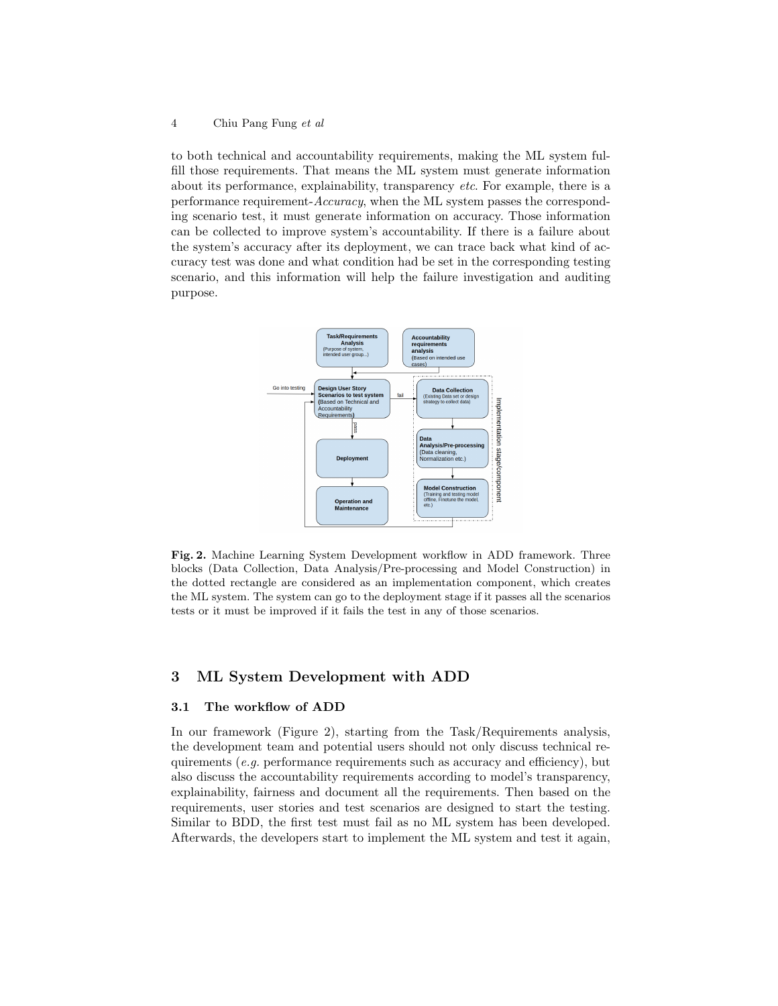#### 4 Chiu Pang Fung et al

to both technical and accountability requirements, making the ML system fulfill those requirements. That means the ML system must generate information about its performance, explainability, transparency etc. For example, there is a performance requirement-Accuracy, when the ML system passes the corresponding scenario test, it must generate information on accuracy. Those information can be collected to improve system's accountability. If there is a failure about the system's accuracy after its deployment, we can trace back what kind of accuracy test was done and what condition had be set in the corresponding testing scenario, and this information will help the failure investigation and auditing purpose.



Fig. 2. Machine Learning System Development workflow in ADD framework. Three blocks (Data Collection, Data Analysis/Pre-processing and Model Construction) in the dotted rectangle are considered as an implementation component, which creates the ML system. The system can go to the deployment stage if it passes all the scenarios tests or it must be improved if it fails the test in any of those scenarios.

## 3 ML System Development with ADD

#### 3.1 The workflow of ADD

In our framework (Figure 2), starting from the Task/Requirements analysis, the development team and potential users should not only discuss technical requirements (e.g. performance requirements such as accuracy and efficiency), but also discuss the accountability requirements according to model's transparency, explainability, fairness and document all the requirements. Then based on the requirements, user stories and test scenarios are designed to start the testing. Similar to BDD, the first test must fail as no ML system has been developed. Afterwards, the developers start to implement the ML system and test it again,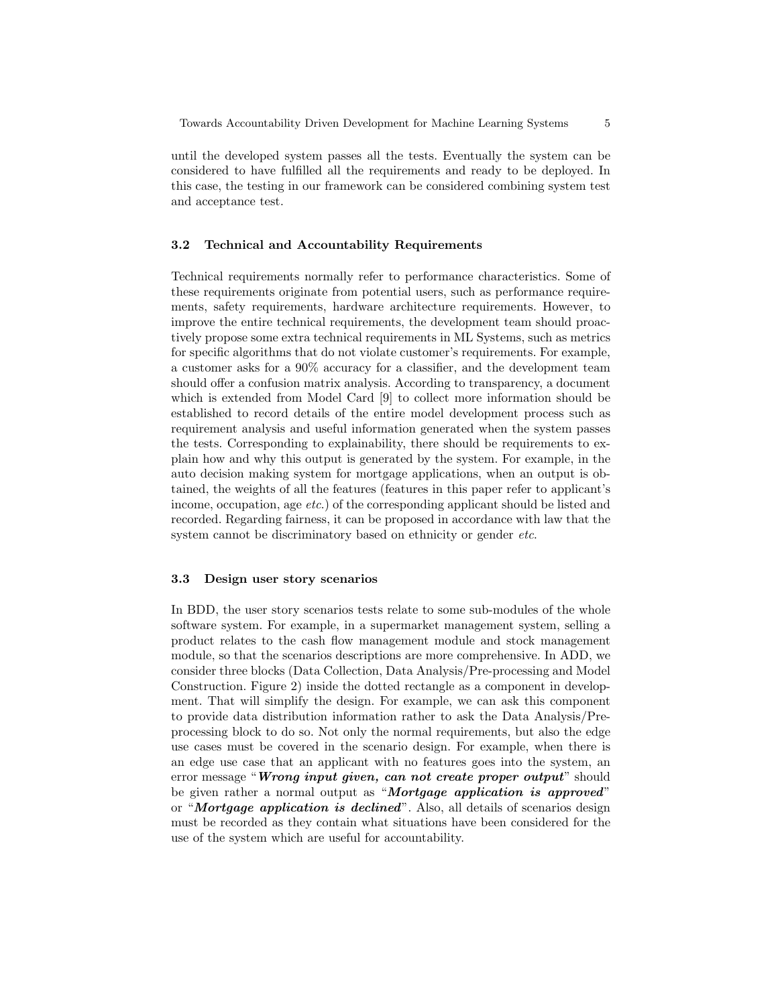until the developed system passes all the tests. Eventually the system can be considered to have fulfilled all the requirements and ready to be deployed. In this case, the testing in our framework can be considered combining system test and acceptance test.

## 3.2 Technical and Accountability Requirements

Technical requirements normally refer to performance characteristics. Some of these requirements originate from potential users, such as performance requirements, safety requirements, hardware architecture requirements. However, to improve the entire technical requirements, the development team should proactively propose some extra technical requirements in ML Systems, such as metrics for specific algorithms that do not violate customer's requirements. For example, a customer asks for a 90% accuracy for a classifier, and the development team should offer a confusion matrix analysis. According to transparency, a document which is extended from Model Card [9] to collect more information should be established to record details of the entire model development process such as requirement analysis and useful information generated when the system passes the tests. Corresponding to explainability, there should be requirements to explain how and why this output is generated by the system. For example, in the auto decision making system for mortgage applications, when an output is obtained, the weights of all the features (features in this paper refer to applicant's income, occupation, age etc.) of the corresponding applicant should be listed and recorded. Regarding fairness, it can be proposed in accordance with law that the system cannot be discriminatory based on ethnicity or gender *etc*.

## 3.3 Design user story scenarios

In BDD, the user story scenarios tests relate to some sub-modules of the whole software system. For example, in a supermarket management system, selling a product relates to the cash flow management module and stock management module, so that the scenarios descriptions are more comprehensive. In ADD, we consider three blocks (Data Collection, Data Analysis/Pre-processing and Model Construction. Figure 2) inside the dotted rectangle as a component in development. That will simplify the design. For example, we can ask this component to provide data distribution information rather to ask the Data Analysis/Preprocessing block to do so. Not only the normal requirements, but also the edge use cases must be covered in the scenario design. For example, when there is an edge use case that an applicant with no features goes into the system, an error message "Wrong input given, can not create proper output" should be given rather a normal output as "Mortgage application is approved" or "**Mortgage application is declined**". Also, all details of scenarios design must be recorded as they contain what situations have been considered for the use of the system which are useful for accountability.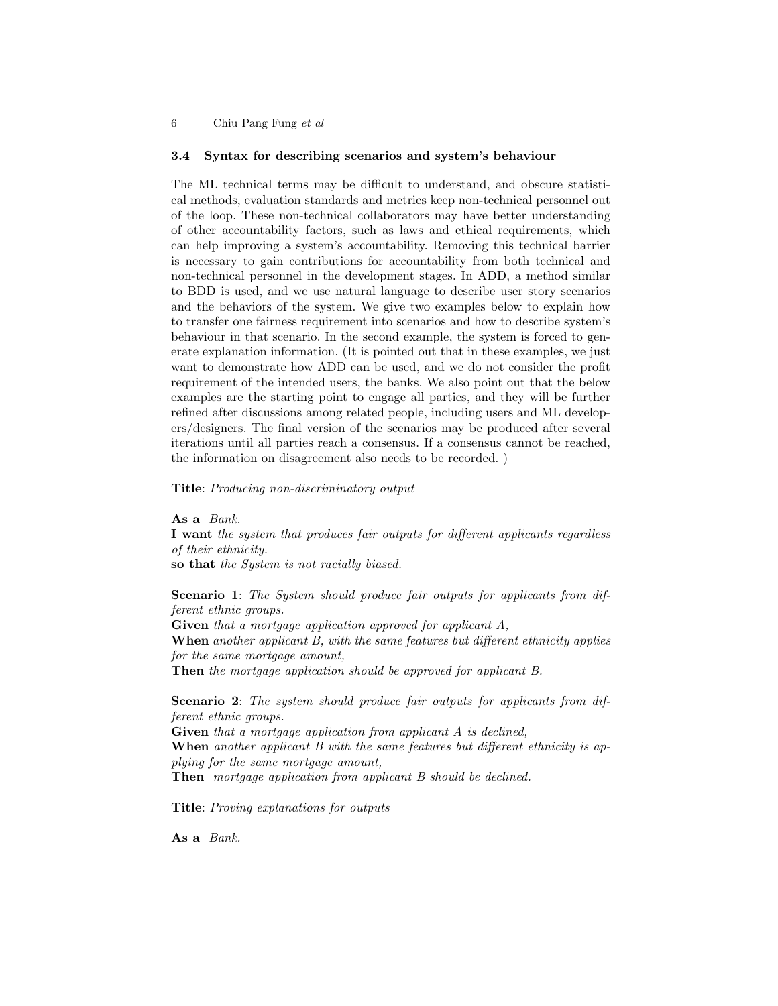6 Chiu Pang Fung et al

#### 3.4 Syntax for describing scenarios and system's behaviour

The ML technical terms may be difficult to understand, and obscure statistical methods, evaluation standards and metrics keep non-technical personnel out of the loop. These non-technical collaborators may have better understanding of other accountability factors, such as laws and ethical requirements, which can help improving a system's accountability. Removing this technical barrier is necessary to gain contributions for accountability from both technical and non-technical personnel in the development stages. In ADD, a method similar to BDD is used, and we use natural language to describe user story scenarios and the behaviors of the system. We give two examples below to explain how to transfer one fairness requirement into scenarios and how to describe system's behaviour in that scenario. In the second example, the system is forced to generate explanation information. (It is pointed out that in these examples, we just want to demonstrate how ADD can be used, and we do not consider the profit requirement of the intended users, the banks. We also point out that the below examples are the starting point to engage all parties, and they will be further refined after discussions among related people, including users and ML developers/designers. The final version of the scenarios may be produced after several iterations until all parties reach a consensus. If a consensus cannot be reached, the information on disagreement also needs to be recorded. )

Title: Producing non-discriminatory output

As a Bank.

I want the system that produces fair outputs for different applicants regardless of their ethnicity.

so that the System is not racially biased.

Scenario 1: The System should produce fair outputs for applicants from different ethnic groups.

Given that a mortgage application approved for applicant A,

When another applicant B, with the same features but different ethnicity applies for the same mortgage amount,

Then the mortgage application should be approved for applicant B.

Scenario 2: The system should produce fair outputs for applicants from different ethnic groups.

Given that a mortgage application from applicant A is declined. When another applicant B with the same features but different ethnicity is applying for the same mortgage amount,

Then mortgage application from applicant B should be declined.

Title: Proving explanations for outputs

As a Bank.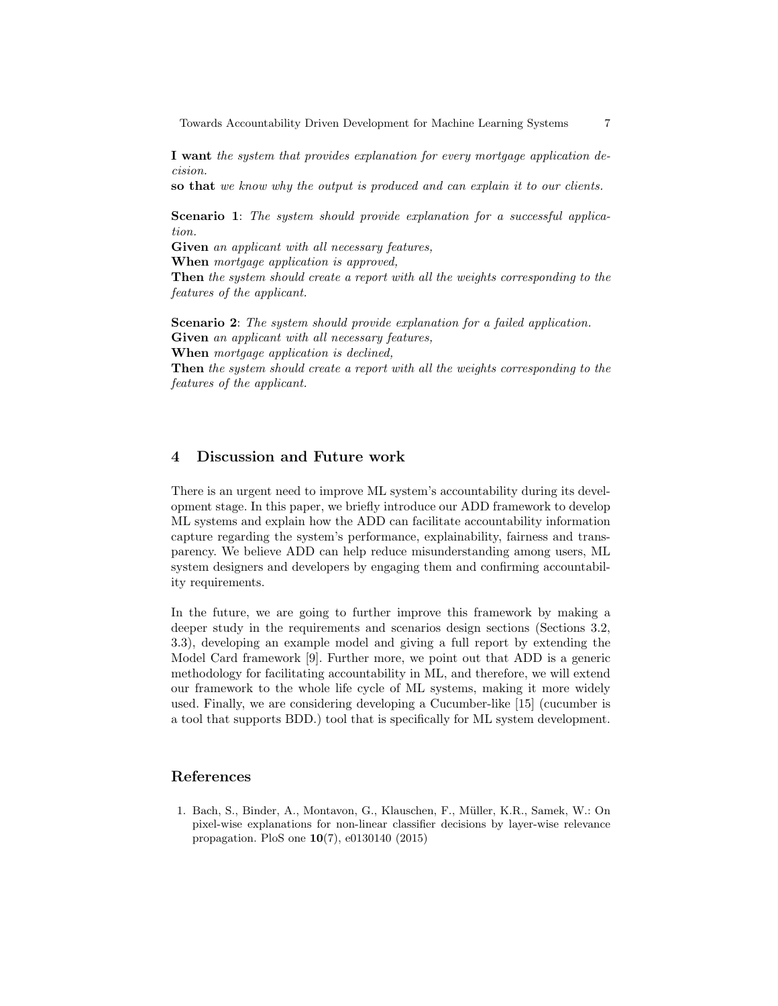Towards Accountability Driven Development for Machine Learning Systems 7

I want the system that provides explanation for every mortgage application decision.

so that we know why the output is produced and can explain it to our clients.

Scenario 1: The system should provide explanation for a successful application.

Given an applicant with all necessary features,

When *mortgage application* is approved,

Then the system should create a report with all the weights corresponding to the features of the applicant.

Scenario 2: The system should provide explanation for a failed application. Given an applicant with all necessary features, When mortgage application is declined,

Then the system should create a report with all the weights corresponding to the features of the applicant.

## 4 Discussion and Future work

There is an urgent need to improve ML system's accountability during its development stage. In this paper, we briefly introduce our ADD framework to develop ML systems and explain how the ADD can facilitate accountability information capture regarding the system's performance, explainability, fairness and transparency. We believe ADD can help reduce misunderstanding among users, ML system designers and developers by engaging them and confirming accountability requirements.

In the future, we are going to further improve this framework by making a deeper study in the requirements and scenarios design sections (Sections 3.2, 3.3), developing an example model and giving a full report by extending the Model Card framework [9]. Further more, we point out that ADD is a generic methodology for facilitating accountability in ML, and therefore, we will extend our framework to the whole life cycle of ML systems, making it more widely used. Finally, we are considering developing a Cucumber-like [15] (cucumber is a tool that supports BDD.) tool that is specifically for ML system development.

## References

1. Bach, S., Binder, A., Montavon, G., Klauschen, F., M¨uller, K.R., Samek, W.: On pixel-wise explanations for non-linear classifier decisions by layer-wise relevance propagation. PloS one 10(7), e0130140 (2015)